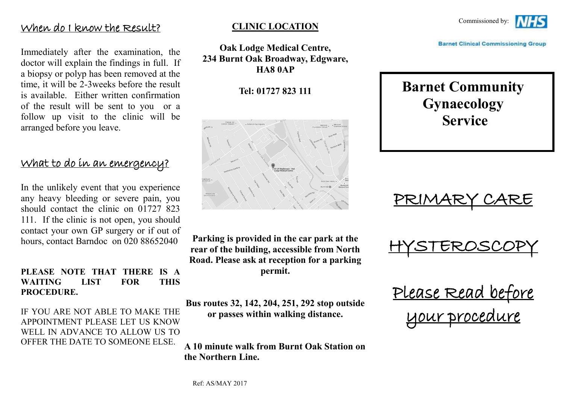#### When do I know the Result?

Immediately after the examination, the doctor will explain the findings in full. If a biopsy or polyp has been removed at the time, it will be 2-3weeks before the result is available. Either written confirmation of the result will be sent to you or a follow up visit to the clinic will be arranged before you leave.

### What to do in an emergency?

In the unlikely event that you experience any heavy bleeding or severe pain, you should contact the clinic on 01727 823 111. If the clinic is not open, you should contact your own GP surgery or if out of hours, contact Barndoc on 020 88652040

#### **PLEASE NOTE THAT THERE IS A WAITING LIST FOR THIS PROCEDURE.**

IF YOU ARE NOT ABLE TO MAKE THE APPOINTMENT PLEASE LET US KNOW WELL IN ADVANCE TO ALLOW US TO OFFER THE DATE TO SOMEONE ELSE.

#### **CLINIC LOCATION**

**Oak Lodge Medical Centre, 234 Burnt Oak Broadway, Edgware, HA8 0AP**

**Tel: 01727 823 111**



**Parking is provided in the car park at the rear of the building, accessible from North Road. Please ask at reception for a parking permit.**

**Bus routes 32, 142, 204, 251, 292 stop outside or passes within walking distance.**

**A 10 minute walk from Burnt Oak Station on the Northern Line.**



**Barnet Clinical Commissioning Group** 

# **Barnet Community Gynaecology Service**

PRIMARY CARE

HYSTEROSCOPY

Please Read before your procedure